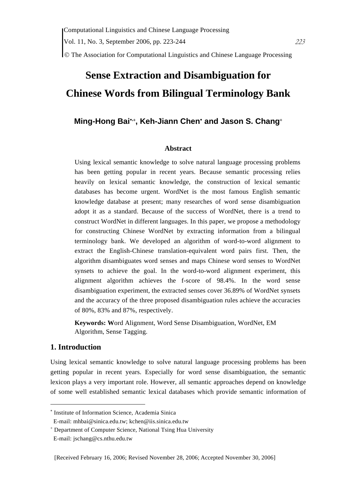© The Association for Computational Linguistics and Chinese Language Processing

## **Sense Extraction and Disambiguation for Chinese Words from Bilingual Terminology Bank**

## **Ming-Hong Bai**<sup>∗</sup>**,**<sup>+</sup> **, Keh-Jiann Chen**<sup>∗</sup>  **and Jason S. Chang**<sup>+</sup>

#### **Abstract**

Using lexical semantic knowledge to solve natural language processing problems has been getting popular in recent years. Because semantic processing relies heavily on lexical semantic knowledge, the construction of lexical semantic databases has become urgent. WordNet is the most famous English semantic knowledge database at present; many researches of word sense disambiguation adopt it as a standard. Because of the success of WordNet, there is a trend to construct WordNet in different languages. In this paper, we propose a methodology for constructing Chinese WordNet by extracting information from a bilingual terminology bank. We developed an algorithm of word-to-word alignment to extract the English-Chinese translation-equivalent word pairs first. Then, the algorithm disambiguates word senses and maps Chinese word senses to WordNet synsets to achieve the goal. In the word-to-word alignment experiment, this alignment algorithm achieves the f-score of 98.4%. In the word sense disambiguation experiment, the extracted senses cover 36.89% of WordNet synsets and the accuracy of the three proposed disambiguation rules achieve the accuracies of 80%, 83% and 87%, respectively.

**Keywords: W**ord Alignment, Word Sense Disambiguation, WordNet, EM Algorithm, Sense Tagging.

## **1. Introduction**

 $\overline{a}$ 

Using lexical semantic knowledge to solve natural language processing problems has been getting popular in recent years. Especially for word sense disambiguation, the semantic lexicon plays a very important role. However, all semantic approaches depend on knowledge of some well established semantic lexical databases which provide semantic information of

<sup>∗</sup> Institute of Information Science, Academia Sinica

E-mail: mhbai@sinica.edu.tw; kchen@iis.sinica.edu.tw

<sup>+</sup> Department of Computer Science, National Tsing Hua University

E-mail: jschang@cs.nthu.edu.tw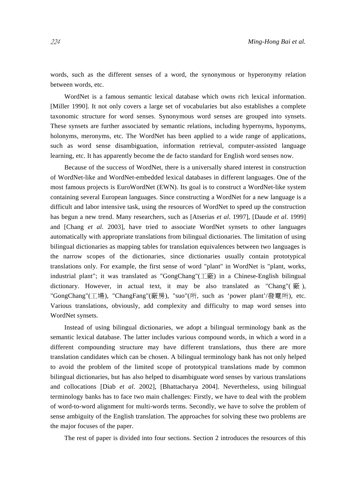words, such as the different senses of a word, the synonymous or hyperonymy relation between words, etc.

WordNet is a famous semantic lexical database which owns rich lexical information. [Miller 1990]. It not only covers a large set of vocabularies but also establishes a complete taxonomic structure for word senses. Synonymous word senses are grouped into synsets. These synsets are further associated by semantic relations, including hypernyms, hyponyms, holonyms, meronyms, etc. The WordNet has been applied to a wide range of applications, such as word sense disambiguation, information retrieval, computer-assisted language learning, etc. It has apparently become the de facto standard for English word senses now.

Because of the success of WordNet, there is a universally shared interest in construction of WordNet-like and WordNet-embedded lexical databases in different languages. One of the most famous projects is EuroWordNet (EWN). Its goal is to construct a WordNet-like system containing several European languages. Since constructing a WordNet for a new language is a difficult and labor intensive task, using the resources of WordNet to speed up the construction has begun a new trend. Many researchers, such as [Atserias *et al*. 1997], [Daude *et al*. 1999] and [Chang *et al.* 2003], have tried to associate WordNet synsets to other languages automatically with appropriate translations from bilingual dictionaries. The limitation of using bilingual dictionaries as mapping tables for translation equivalences between two languages is the narrow scopes of the dictionaries, since dictionaries usually contain prototypical translations only. For example, the first sense of word "plant" in WordNet is "plant, works, industrial plant"; it was translated as "GongChang"(工廠) in a Chinese-English bilingual dictionary. However, in actual text, it may be also translated as "Chang"( $\dddot{m}$ ), "GongChang"(工場), "ChangFang"(廠房), "suo"(所, such as 'power plant'/發電所), etc. Various translations, obviously, add complexity and difficulty to map word senses into WordNet synsets.

Instead of using bilingual dictionaries, we adopt a bilingual terminology bank as the semantic lexical database. The latter includes various compound words, in which a word in a different compounding structure may have different translations, thus there are more translation candidates which can be chosen. A bilingual terminology bank has not only helped to avoid the problem of the limited scope of prototypical translations made by common bilingual dictionaries, but has also helped to disambiguate word senses by various translations and collocations [Diab *et al*. 2002], [Bhattacharya 2004]. Nevertheless, using bilingual terminology banks has to face two main challenges: Firstly, we have to deal with the problem of word-to-word alignment for multi-words terms. Secondly, we have to solve the problem of sense ambiguity of the English translation. The approaches for solving these two problems are the major focuses of the paper.

The rest of paper is divided into four sections. Section 2 introduces the resources of this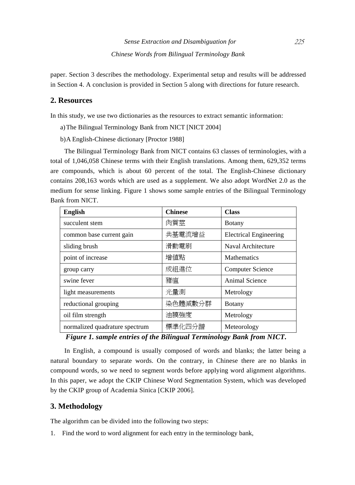paper. Section 3 describes the methodology. Experimental setup and results will be addressed in Section 4. A conclusion is provided in Section 5 along with directions for future research.

## **2. Resources**

In this study, we use two dictionaries as the resources to extract semantic information:

- a)The Bilingual Terminology Bank from NICT [NICT 2004]
- b)A English-Chinese dictionary [Proctor 1988]

The Bilingual Terminology Bank from NICT contains 63 classes of terminologies, with a total of 1,046,058 Chinese terms with their English translations. Among them, 629,352 terms are compounds, which is about 60 percent of the total. The English-Chinese dictionary contains 208,163 words which are used as a supplement. We also adopt WordNet 2.0 as the medium for sense linking. Figure 1 shows some sample entries of the Bilingual Terminology Bank from NICT.

| <b>English</b>                 | <b>Chinese</b> | <b>Class</b>                  |  |
|--------------------------------|----------------|-------------------------------|--|
| succulent stem                 | 肉質莖            | <b>Botany</b>                 |  |
| common base current gain       | 共基電流增益         | <b>Electrical Engineering</b> |  |
| sliding brush                  | 滑動電刷           | Naval Architecture            |  |
| point of increase              | 增値點            | <b>Mathematics</b>            |  |
| group carry                    | 成組進位           | <b>Computer Science</b>       |  |
| swine fever                    | 豬瘟             | Animal Science                |  |
| light measurements             | 光量測            | Metrology                     |  |
| reductional grouping           | 染色體減數分群        | <b>B</b> otany                |  |
| oil film strength              | 油膜強度           | Metrology                     |  |
| normalized quadrature spectrum | 標準化四分譜         | Meteorology                   |  |

*Figure 1. sample entries of the Bilingual Terminology Bank from NICT.* 

In English, a compound is usually composed of words and blanks; the latter being a natural boundary to separate words. On the contrary, in Chinese there are no blanks in compound words, so we need to segment words before applying word alignment algorithms. In this paper, we adopt the CKIP Chinese Word Segmentation System, which was developed by the CKIP group of Academia Sinica [CKIP 2006].

## **3. Methodology**

The algorithm can be divided into the following two steps:

1. Find the word to word alignment for each entry in the terminology bank,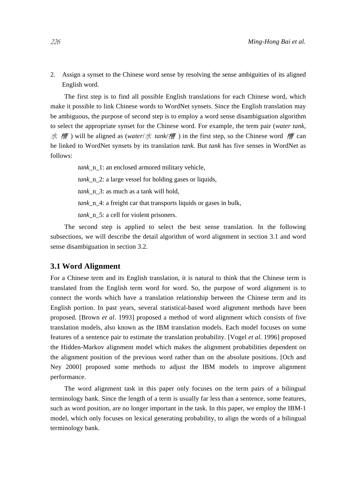2. Assign a synset to the Chinese word sense by resolving the sense ambiguities of its aligned English word.

The first step is to find all possible English translations for each Chinese word, which make it possible to link Chinese words to WordNet synsets. Since the English translation may be ambiguous, the purpose of second step is to employ a word sense disambiguation algorithm to select the appropriate synset for the Chinese word. For example, the term pair (*water tank*, 水 槽) will be aligned as (*water*/水 *tank/槽*) in the first step, so the Chinese word 槽 can be linked to WordNet synsets by its translation *tank*. But *tank* has five senses in WordNet as follows:

> *tank*\_n\_1: an enclosed armored military vehicle, *tank* n 2: a large vessel for holding gases or liquids, *tank*\_n\_3: as much as a tank will hold, *tank* n 4: a freight car that transports liquids or gases in bulk, *tank*\_n\_5: a cell for violent prisoners.

The second step is applied to select the best sense translation. In the following subsections, we will describe the detail algorithm of word alignment in section 3.1 and word sense disambiguation in section 3.2.

#### **3.1 Word Alignment**

For a Chinese term and its English translation, it is natural to think that the Chinese term is translated from the English term word for word. So, the purpose of word alignment is to connect the words which have a translation relationship between the Chinese term and its English portion. In past years, several statistical-based word alignment methods have been proposed. [Brown *et al*. 1993] proposed a method of word alignment which consists of five translation models, also known as the IBM translation models. Each model focuses on some features of a sentence pair to estimate the translation probability. [Vogel *et al*. 1996] proposed the Hidden-Markov alignment model which makes the alignment probabilities dependent on the alignment position of the previous word rather than on the absolute positions. [Och and Ney 2000] proposed some methods to adjust the IBM models to improve alignment performance.

The word alignment task in this paper only focuses on the term pairs of a bilingual terminology bank. Since the length of a term is usually far less than a sentence, some features, such as word position, are no longer important in the task. In this paper, we employ the IBM-1 model, which only focuses on lexical generating probability, to align the words of a bilingual terminology bank.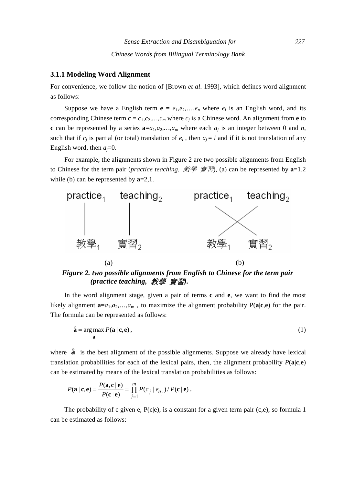#### **3.1.1 Modeling Word Alignment**

For convenience, we follow the notion of [Brown *et al*. 1993], which defines word alignment as follows:

Suppose we have a English term  $e = e_1, e_2, \dots, e_n$  where  $e_i$  is an English word, and its corresponding Chinese term  $\mathbf{c} = c_1, c_2, \dots, c_m$  where  $c_j$  is a Chinese word. An alignment from  $\mathbf{e}$  to **c** can be represented by a series  $\mathbf{a} = a_1, a_2, \dots, a_m$  where each  $a_j$  is an integer between 0 and *n*, such that if  $c_i$  is partial (or total) translation of  $e_i$ , then  $a_i = i$  and if it is not translation of any English word, then  $a_i=0$ .

For example, the alignments shown in Figure 2 are two possible alignments from English to Chinese for the term pair (*practice teaching*, 教學 實習), (a) can be represented by **a**=1,2 while (b) can be represented by **a**=2,1.



*Figure 2. two possible alignments from English to Chinese for the term pair (practice teaching,* 教學 實習*).* 

In the word alignment stage, given a pair of terms **c** and **e**, we want to find the most likely alignment  $\mathbf{a} = a_1, a_2, \ldots, a_m$ , to maximize the alignment probability  $P(\mathbf{a}|\mathbf{c}, \mathbf{e})$  for the pair. The formula can be represented as follows:

$$
\hat{\mathbf{a}} = \arg \max_{\mathbf{a}} P(\mathbf{a} \mid \mathbf{c}, \mathbf{e}),\tag{1}
$$

where  $\hat{a}$  is the best alignment of the possible alignments. Suppose we already have lexical translation probabilities for each of the lexical pairs, then, the alignment probability  $P(a|c,e)$ can be estimated by means of the lexical translation probabilities as follows:

$$
P(\mathbf{a} \mid \mathbf{c}, \mathbf{e}) = \frac{P(\mathbf{a}, \mathbf{c} \mid \mathbf{e})}{P(\mathbf{c} \mid \mathbf{e})} = \prod_{j=1}^{m} P(c_j \mid e_{a_j}) / P(\mathbf{c} \mid \mathbf{e}).
$$

The probability of c given e,  $P(c|e)$ , is a constant for a given term pair  $(c,e)$ , so formula 1 can be estimated as follows: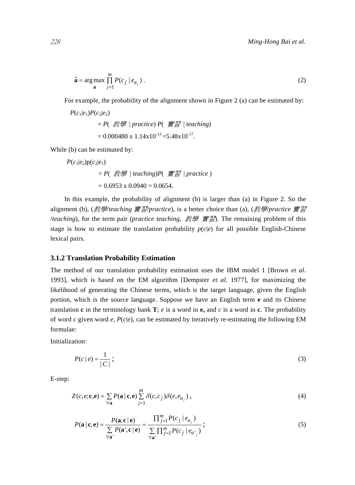$$
\hat{\mathbf{a}} = \underset{\mathbf{a}}{\arg \max} \prod_{j=1}^{m} P(c_j \mid e_{a_j}).
$$
\n(2)

For example, the probability of the alignment shown in Figure 2 (a) can be estimated by:

$$
P(c_1|e_1)P(c_2|e_2)
$$
  
= P(  $\# \#$  | practice) P(  $\# \mathbb{Z}$  | teaching)  
= 0.000480 x 1.14x10<sup>-13</sup> = 5.48x10<sup>-17</sup>.

While (b) can be estimated by:

$$
P(c_1|e_2)p(c_2|e_1) = P(\text{##} | teaching)P(\text{#} | practice)
$$
  
= 0.6953 x 0.0940 = 0.0654.

In this example, the probability of alignment (b) is larger than (a) in Figure 2. So the alignment (b), (教學*/teaching* 實習*/practice*), is a better choice than (a), (教學*/practice* 實習 /*teaching*), for the term pair (*practice teaching*, 教學 實習). The remaining problem of this stage is how to estimate the translation probability  $p(c|e)$  for all possible English-Chinese lexical pairs.

#### **3.1.2 Translation Probability Estimation**

The method of our translation probability estimation uses the IBM model 1 [Brown *et al*. 1993], which is based on the EM algorithm [Dempster *et al*. 1977], for maximizing the likelihood of generating the Chinese terms, which is the target language, given the English portion, which is the source language. Suppose we have an English term **e** and its Chinese translation **c** in the terminology bank **T**; *e* is a word in **e**, and *c* is a word in **c**. The probability of word *c* given word *e*, *P*(*c*|*e*), can be estimated by iteratively re-estimating the following EM formulae:

Initialization:

$$
P(c \mid e) = \frac{1}{|C|} \tag{3}
$$

E-step:

$$
Z(c, e; \mathbf{c}, \mathbf{e}) = \sum_{\forall \mathbf{a}} P(\mathbf{a} \mid \mathbf{c}, \mathbf{e}) \sum_{j=1}^{m} \delta(c, c_j) \delta(e, e_{a_j}), \qquad (4)
$$

$$
P(\mathbf{a} \mid \mathbf{c}, \mathbf{e}) = \frac{P(\mathbf{a}, \mathbf{c} \mid \mathbf{e})}{\sum_{\forall \mathbf{a}'} P(\mathbf{a}', \mathbf{c} \mid \mathbf{e})} = \frac{\prod_{j=1}^{m} P(c_j \mid e_{a_j})}{\sum_{\forall \mathbf{a}'} \prod_{j=1}^{m} P(c_j \mid e_{a_j})};
$$
\n(5)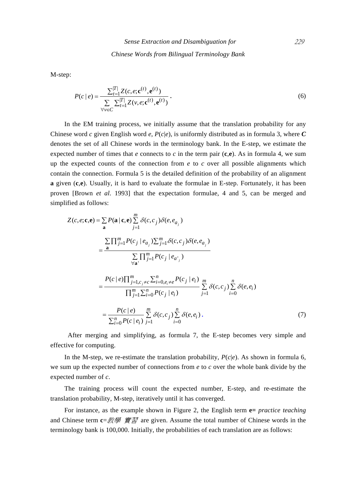*Chinese Words from Bilingual Terminology Bank* 

M-step:

$$
P(c \mid e) = \frac{\sum_{t=1}^{|T|} Z(c, e; \mathbf{c}^{(t)}, \mathbf{e}^{(t)})}{\sum_{\forall v \in C} \sum_{t=1}^{|T|} Z(v, e; \mathbf{c}^{(t)}, \mathbf{e}^{(t)})}.
$$
(6)

In the EM training process, we initially assume that the translation probability for any Chinese word *c* given English word *e*, *P*(*c*|*e*), is uniformly distributed as in formula 3, where *C* denotes the set of all Chinese words in the terminology bank. In the E-step, we estimate the expected number of times that *e* connects to *c* in the term pair  $(c,e)$ . As in formula 4, we sum up the expected counts of the connection from  $e$  to  $c$  over all possible alignments which contain the connection. Formula 5 is the detailed definition of the probability of an alignment **a** given (**c**,**e**). Usually, it is hard to evaluate the formulae in E-step. Fortunately, it has been proven [Brown *et al*. 1993] that the expectation formulae, 4 and 5, can be merged and simplified as follows:

$$
Z(c, e; \mathbf{c}, \mathbf{e}) = \sum_{\mathbf{a}} P(\mathbf{a} | \mathbf{c}, \mathbf{e}) \sum_{j=1}^{m} \delta(c, c_j) \delta(e, e_{a_j})
$$
  
\n
$$
= \frac{\sum \prod_{j=1}^{m} P(c_j | e_{a_j}) \sum_{j=1}^{m} \delta(c, c_j) \delta(e, e_{a_j})}{\sum \prod_{j=1}^{m} P(c_j | e_{a_j})}
$$
  
\n
$$
= \frac{P(c | e) \prod_{j=1, c_j \neq c}^{m} \sum_{i=0, e_i \neq e}^{n} P(c_j | e_i)}{\prod_{j=1}^{m} \sum_{i=0}^{n} P(c_j | e_i)} \sum_{j=1}^{m} \delta(c, c_j) \sum_{i=0}^{n} \delta(e, e_i)}
$$
  
\n
$$
= \frac{P(c | e)}{\sum_{i=0}^{n} P(c | e_i)} \sum_{j=1}^{m} \delta(c, c_j) \sum_{i=0}^{n} \delta(e, e_i).
$$
 (7)

 After merging and simplifying, as formula 7, the E-step becomes very simple and effective for computing.

In the M-step, we re-estimate the translation probability,  $P(c|e)$ . As shown in formula 6, we sum up the expected number of connections from *e* to *c* over the whole bank divide by the expected number of *c*.

The training process will count the expected number, E-step, and re-estimate the translation probability, M-step, iteratively until it has converged.

For instance, as the example shown in Figure 2, the English term **e=** *practice teaching* and Chinese term **c**=教學 實習 are given. Assume the total number of Chinese words in the terminology bank is 100,000. Initially, the probabilities of each translation are as follows: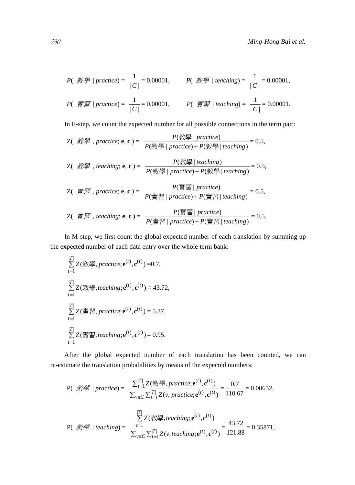$$
P(\text{KSE} \mid practice) = \frac{1}{|C|} = 0.00001, \qquad P(\text{KSE} \mid teaching) = \frac{1}{|C|} = 0.00001,
$$
\n
$$
P(\text{KSE} \mid practice) = \frac{1}{|C|} = 0.00001, \qquad P(\text{KSE} \mid teaching) = \frac{1}{|C|} = 0.00001.
$$

In E-step, we count the expected number for all possible connections in the term pair:

\n- Z( 
$$
\mathcal{H}\mathcal{B}
$$
, practice; **e**, **c** ) =  $\frac{P(\mathcal{H}\mathcal{B}\mid practice)}{P(\mathcal{H}\mathcal{B}\mid practice) + P(\mathcal{H}\mathcal{B}\mid teaching)} = 0.5$ ,
\n- Z(  $\mathcal{H}\mathcal{B}$ , teaching; **e**, **c** ) =  $\frac{P(\mathcal{H}\mathcal{B}\mid teaching)}{P(\mathcal{H}\mathcal{B}\mid practice) + P(\mathcal{H}\mathcal{B}\mid teaching)} = 0.5$ ,
\n- Z(  $\mathcal{H}\mathcal{B}$ , practice; **e**, **c** ) =  $\frac{P(\mathcal{H}\mathcal{B}\mid practice)}{P(\mathcal{H}\mathcal{B}\mid practice) + P(\mathcal{H}\mathcal{B}\mid teaching)} = 0.5$ ,
\n- Z(  $\mathcal{H}\mathcal{B}$ , teaching; **e**, **c** ) =  $\frac{P(\mathcal{H}\mathcal{B}\mid practice)}{P(\mathcal{H}\mathcal{B}\mid practice) + P(\mathcal{H}\midraise)} = 0.5$ .
\n

In M-step, we first count the global expected number of each translation by summing up the expected number of each data entry over the whole term bank:

$$
\sum_{t=1}^{[T]} Z(\frac{2\pi}{3}) = \sum_{t=1}^{[T]} Z(\frac{2\pi}{3}) = \sum_{t=1}^{[T]} Z(\frac{2\pi}{3}) = \sum_{t=1}^{[T]} Z(\frac{2\pi}{3}) = \sum_{t=1}^{[T]} Z(\frac{2\pi}{3}) = \sum_{t=1}^{[T]} Z(\frac{2\pi}{3}) = \sum_{t=1}^{[T]} Z(\frac{2\pi}{3}) = \sum_{t=1}^{[T]} Z(\frac{2\pi}{3}) = \sum_{t=1}^{[T]} Z(\frac{2\pi}{3}) = \sum_{t=1}^{[T]} Z(\frac{2\pi}{3}) = \sum_{t=1}^{[T]} Z(\frac{2\pi}{3}) = \sum_{t=1}^{[T]} Z(\frac{2\pi}{3}) = \sum_{t=1}^{[T]} Z(\frac{2\pi}{3}) = \sum_{t=1}^{[T]} Z(\frac{2\pi}{3}) = \sum_{t=1}^{[T]} Z(\frac{2\pi}{3}) = \sum_{t=1}^{[T]} Z(\frac{2\pi}{3}) = \sum_{t=1}^{[T]} Z(\frac{2\pi}{3}) = \sum_{t=1}^{[T]} Z(\frac{2\pi}{3}) = \sum_{t=1}^{[T]} Z(\frac{2\pi}{3}) = \sum_{t=1}^{[T]} Z(\frac{2\pi}{3}) = \sum_{t=1}^{[T]} Z(\frac{2\pi}{3}) = \sum_{t=1}^{[T]} Z(\frac{2\pi}{3}) = \sum_{t=1}^{[T]} Z(\frac{2\pi}{3}) = \sum_{t=1}^{[T]} Z(\frac{2\pi}{3}) = \sum_{t=1}^{[T]} Z(\frac{2\pi}{3}) = \sum_{t=1}^{[T]} Z(\frac{2\pi}{3}) = \sum_{t=1}^{[T]} Z(\frac{2\pi}{3}) = \sum_{t=1}^{[T]} Z(\frac{2\pi}{3}) = \sum_{t=1}^{[T]} Z(\frac{2\pi}{3}) = \sum_{t=1}^{[T]} Z(\frac{2\pi}{3}) = \sum_{t=1}^{[T]} Z(\frac{2\pi}{3}) = \sum_{t=1}^{[T]} Z(\frac{2\pi}{3}) = \sum_{t=1}^{[T]} Z(\frac{2\pi}{3}) = \sum_{t=1}^{[T]} Z(\frac{2\pi}{3}) = \sum_{t=1}^{[T]}
$$

After the global expected number of each translation has been counted, we can re-estimate the translation probabilities by means of the expected numbers:

P(*xy* = 0.00632,  
\nP(*xy* = 0.00632,  
\n
$$
\sum_{v \in C} \sum_{t=1}^{|T|} Z(\psi, practice; \mathbf{e}^{(t)}, \mathbf{c}^{(t)}) = \frac{0.7}{110.67} = 0.00632,
$$
\n
$$
P(\psi, \mathbf{w}) = \frac{\sum_{t=1}^{|T|} Z(\psi, practice; \mathbf{e}^{(t)}, \mathbf{c}^{(t)})}{\sum_{v \in C} \sum_{t=1}^{|T|} Z(v, teaching; \mathbf{e}^{(t)}, \mathbf{c}^{(t)})} = \frac{43.72}{121.88} = 0.35871,
$$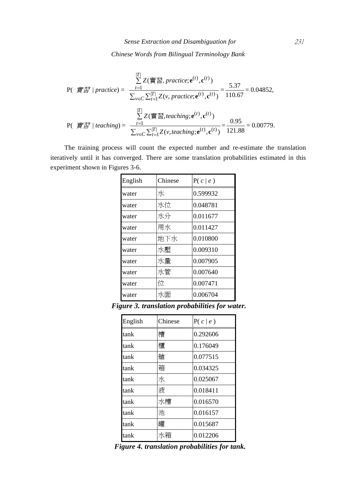*Chinese Words from Bilingual Terminology Bank* 

$$
P(\n\widetilde{\mathbf{f}}\n\widetilde{\mathbf{f}}\n\widetilde{\mathbf{f}}\n\widetilde{\mathbf{f}}\n\widetilde{\mathbf{f}}\n\widetilde{\mathbf{f}}\n\widetilde{\mathbf{f}}\n\widetilde{\mathbf{f}}\n\widetilde{\mathbf{f}}\n\widetilde{\mathbf{f}}\n\widetilde{\mathbf{f}}\n\widetilde{\mathbf{f}}\n\widetilde{\mathbf{f}}\n\widetilde{\mathbf{f}}\n\widetilde{\mathbf{f}}\n\widetilde{\mathbf{f}}\n\widetilde{\mathbf{f}}\n\widetilde{\mathbf{f}}\n\widetilde{\mathbf{f}}\n\widetilde{\mathbf{f}}\n\widetilde{\mathbf{f}}\n\widetilde{\mathbf{f}}\n\widetilde{\mathbf{f}}\n\widetilde{\mathbf{f}}\n\widetilde{\mathbf{f}}\n\widetilde{\mathbf{f}}\n\widetilde{\mathbf{f}}\n\widetilde{\mathbf{f}}\n\widetilde{\mathbf{f}}\n\widetilde{\mathbf{f}}\n\widetilde{\mathbf{f}}\n\widetilde{\mathbf{f}}\n\widetilde{\mathbf{f}}\n\widetilde{\mathbf{f}}\n\widetilde{\mathbf{f}}\n\widetilde{\mathbf{f}}\n\widetilde{\mathbf{f}}\n\widetilde{\mathbf{f}}\n\widetilde{\mathbf{f}}\n\widetilde{\mathbf{f}}\n\widetilde{\mathbf{f}}\n\widetilde{\mathbf{f}}\n\widetilde{\mathbf{f}}\n\widetilde{\mathbf{f}}\n\widetilde{\mathbf{f}}\n\widetilde{\mathbf{f}}\n\widetilde{\mathbf{f}}\n\widetilde{\mathbf{f}}\n\widetilde{\mathbf{f}}\n\widetilde{\mathbf{f}}\n\widetilde{\mathbf{f}}\n\widetilde{\mathbf{f}}\n\widetilde{\mathbf{f}}\n\widetilde{\mathbf{f}}\n\widetilde{\mathbf{f}}\n\widetilde{\mathbf{f}}\n\widetilde{\mathbf{f}}\n\widetilde{\mathbf{f}}\n\widetilde{\mathbf{f}}\n\widetilde{\mathbf{f}}\n\widetilde{\mathbf{f}}\n\widetilde{\mathbf{f}}\n\widetilde{\mathbf{f}}
$$

The training process will count the expected number and re-estimate the translation iteratively until it has converged. There are some translation probabilities estimated in this experiment shown in Figures 3-6.

| English | Chinese | P(c   e) |
|---------|---------|----------|
| water   | 水       | 0.599932 |
| water   | 水位      | 0.048781 |
| water   | 水分      | 0.011677 |
| water   | 用水      | 0.011427 |
| water   | 地下水     | 0.010800 |
| water   | 水壓      | 0.009310 |
| water   | 水量      | 0.007905 |
| water   | 水管      | 0.007640 |
| water   | 位       | 0.007471 |
| water   | 水面      | 0.006704 |

*Figure 3. translation probabilities for water.* 

| English | Chinese | P(c   e) |
|---------|---------|----------|
| tank    | 槽       | 0.292606 |
| tank    | 櫃       | 0.176049 |
| tank    | 艙       | 0.077515 |
| tank    | 箱       | 0.034325 |
| tank    | 水       | 0.025067 |
| tank    | 液       | 0.018411 |
| tank    | 水槽      | 0.016570 |
| tank    | 池       | 0.016157 |
| tank    | 罐       | 0.015687 |
| tank    | 水箱      | 0.012206 |

*Figure 4. translation probabilities for tank.*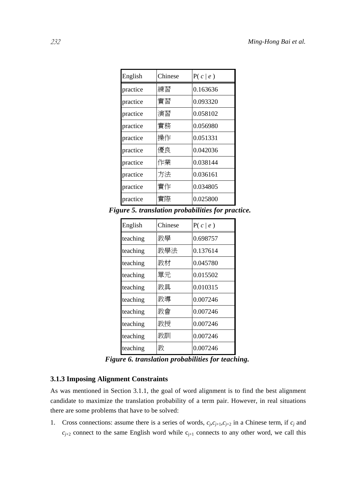| English  | Chinese | P(c   e) |
|----------|---------|----------|
| practice | 練習      | 0.163636 |
| practice | 實習      | 0.093320 |
| practice | 演習      | 0.058102 |
| practice | 實務      | 0.056980 |
| practice | 操作      | 0.051331 |
| practice | 優良      | 0.042036 |
| practice | 作業      | 0.038144 |
| practice | 方法      | 0.036161 |
| practice | 實作      | 0.034805 |
| practice | 實際      | 0.025800 |

*Figure 5. translation probabilities for practice.* 

| English  | Chinese | P(c   e) |
|----------|---------|----------|
| teaching | 教學      | 0.698757 |
| teaching | 教學法     | 0.137614 |
| teaching | 教材      | 0.045780 |
| teaching | 單元      | 0.015502 |
| teaching | 教具      | 0.010315 |
| teaching | 教導      | 0.007246 |
| teaching | 教會      | 0.007246 |
| teaching | 教授      | 0.007246 |
| teaching | 教訓      | 0.007246 |
| teaching | 教       | 0.007246 |

*Figure 6. translation probabilities for teaching.* 

## **3.1.3 Imposing Alignment Constraints**

As was mentioned in Section 3.1.1, the goal of word alignment is to find the best alignment candidate to maximize the translation probability of a term pair. However, in real situations there are some problems that have to be solved:

1. Cross connections: assume there is a series of words,  $c_j, c_{j+1}, c_{j+2}$  in a Chinese term, if  $c_j$  and  $c_{j+2}$  connect to the same English word while  $c_{j+1}$  connects to any other word, we call this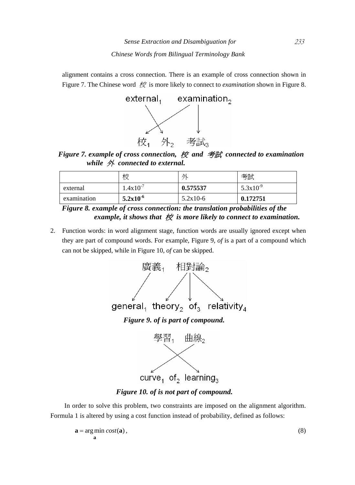alignment contains a cross connection. There is an example of cross connection shown in Figure 7. The Chinese word 校 is more likely to connect to *examination* shown in Figure 8.



*Figure 7. example of cross connection,* 校 *and* 考試 *connected to examination while* 外 *connected to external.* 

|             | 校             | 外          | 考試            |
|-------------|---------------|------------|---------------|
| external    | $1.4x10^{-7}$ | 0.575537   | $5.3x10^{-9}$ |
| examination | $5.2x10^{-6}$ | $5.2x10-6$ | 0.172751      |

*Figure 8. example of cross connection: the translation probabilities of the*  example, it shows that 校 is more likely to connect to examination.

2. Function words: in word alignment stage, function words are usually ignored except when they are part of compound words. For example, Figure 9, *of* is a part of a compound which can not be skipped, while in Figure 10, *of* can be skipped.



*Figure 10. of is not part of compound.* 

In order to solve this problem, two constraints are imposed on the alignment algorithm. Formula 1 is altered by using a cost function instead of probability, defined as follows:

$$
\mathbf{a} = \underset{\mathbf{a}}{\arg\min} \ cost(\mathbf{a}),\tag{8}
$$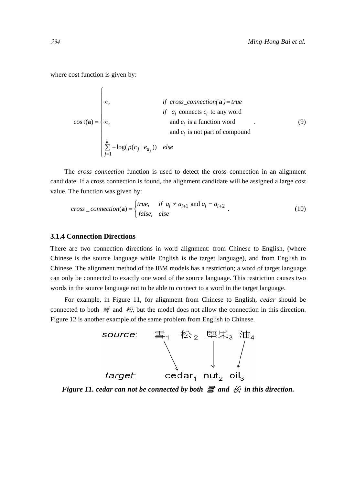where cost function is given by:

 $\sqrt{2}$ 

$$
\cos t(\mathbf{a}) = \begin{cases}\n\infty, & \text{if cross\_connection}(\mathbf{a}) = true \\
\text{if } a_i \text{ connects } c_i \text{ to any word} \\
\infty, & \text{and } c_i \text{ is a function word} \\
\text{and } c_i \text{ is not part of compound} \\
\sum_{j=1}^{k} -\log(p(c_j \mid e_{a_j})) & \text{else}\n\end{cases} \tag{9}
$$

The *cross connection* function is used to detect the cross connection in an alignment candidate. If a cross connection is found, the alignment candidate will be assigned a large cost value. The function was given by:

$$
cross\_connection(\mathbf{a}) = \begin{cases} true, & \text{if } a_i \neq a_{i+1} \text{ and } a_i = a_{i+2} \\ false, & \text{else} \end{cases} . \tag{10}
$$

#### **3.1.4 Connection Directions**

There are two connection directions in word alignment: from Chinese to English, (where Chinese is the source language while English is the target language), and from English to Chinese. The alignment method of the IBM models has a restriction; a word of target language can only be connected to exactly one word of the source language. This restriction causes two words in the source language not to be able to connect to a word in the target language.

For example, in Figure 11, for alignment from Chinese to English, *cedar* should be connected to both  $\equiv$  and  $\not\in\mathcal{K}$ , but the model does not allow the connection in this direction. Figure 12 is another example of the same problem from English to Chinese.



*Figure 11. cedar can not be connected by both* 雪 *and* 松 *in this direction.*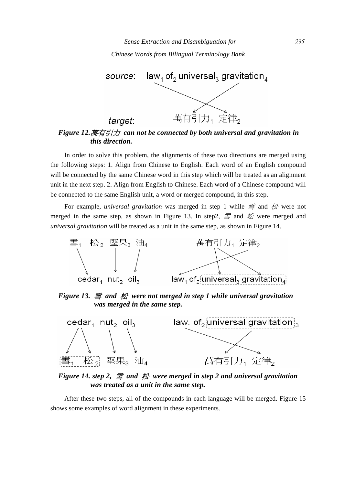

# *this direction.*

In order to solve this problem, the alignments of these two directions are merged using the following steps: 1. Align from Chinese to English. Each word of an English compound will be connected by the same Chinese word in this step which will be treated as an alignment unit in the next step. 2. Align from English to Chinese. Each word of a Chinese compound will be connected to the same English unit, a word or merged compound, in this step.

For example, *universal gravitation* was merged in step 1 while *雪* and 松 were not merged in the same step, as shown in Figure 13. In step2,  $\equiv$  and  $\not\!\!\!\!\!\triangleq$  were merged and *universal gravitation* will be treated as a unit in the same step, as shown in Figure 14.



*Figure 13.* 雪 *and* 松 *were not merged in step 1 while universal gravitation was merged in the same step.* 



*Figure 14. step 2,* 雪 *and* 松 *were merged in step 2 and universal gravitation was treated as a unit in the same step.* 

After these two steps, all of the compounds in each language will be merged. Figure 15 shows some examples of word alignment in these experiments.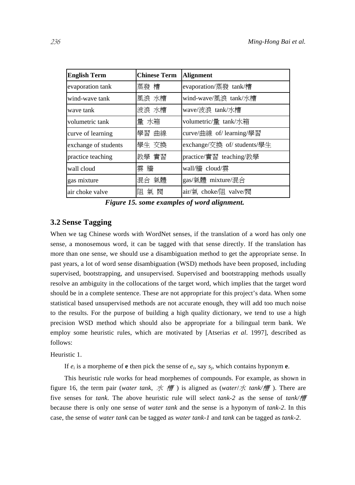| <b>English Term</b>  | <b>Chinese Term</b> | <b>Alignment</b>            |
|----------------------|---------------------|-----------------------------|
| evaporation tank     | 蒸發 槽                | evaporation/蒸發 tank/槽       |
| wind-wave tank       | 風浪 水槽               | wind-wave/風浪 tank/水槽        |
| wave tank            | 波浪 水槽               | wave/波浪 tank/水槽             |
| volumetric tank      | 量 水箱                | volumetric/量 tank/水箱        |
| curve of learning    | 學習 曲線               | curve/曲線 of/ learning/學習    |
| exchange of students | 學生 交換               | exchange/交換 of/ students/學生 |
| practice teaching    | 教學 實習               | practice/實習 teaching/教學     |
| wall cloud           | 雲牆                  | wall/牆 cloud/雲              |
| gas mixture          | 混合 氣體               | gas/氣體 mixture/混合           |
| air choke valve      | 閥<br>阻<br>氣         | air/氣 choke/阻 valve/閥       |

*Figure 15. some examples of word alignment.* 

## **3.2 Sense Tagging**

When we tag Chinese words with WordNet senses, if the translation of a word has only one sense, a monosemous word, it can be tagged with that sense directly. If the translation has more than one sense, we should use a disambiguation method to get the appropriate sense. In past years, a lot of word sense disambiguation (WSD) methods have been proposed, including supervised, bootstrapping, and unsupervised. Supervised and bootstrapping methods usually resolve an ambiguity in the collocations of the target word, which implies that the target word should be in a complete sentence. These are not appropriate for this project's data. When some statistical based unsupervised methods are not accurate enough, they will add too much noise to the results. For the purpose of building a high quality dictionary, we tend to use a high precision WSD method which should also be appropriate for a bilingual term bank. We employ some heuristic rules, which are motivated by [Atserias *et al*. 1997], described as follows:

#### Heuristic 1.

If  $e_i$  is a morpheme of **e** then pick the sense of  $e_i$ , say  $s_i$ , which contains hyponym **e**.

This heuristic rule works for head morphemes of compounds. For example, as shown in figure 16, the term pair (*water tank*, 水 槽 ) is aligned as (*water*/水 *tank/*槽 ). There are five senses for *tank*. The above heuristic rule will select *tank-2* as the sense of *tank/*槽 because there is only one sense of *water tank* and the sense is a hyponym of *tank-2*. In this case, the sense of *water tank* can be tagged as *water tank-1* and *tank* can be tagged as *tank-2*.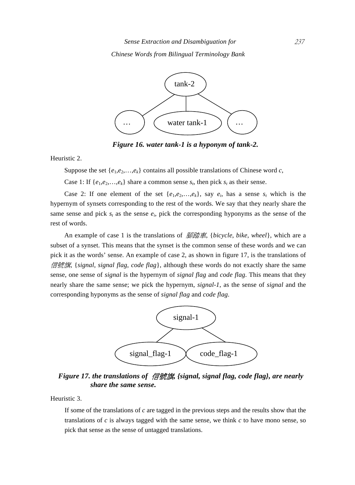#### *Chinese Words from Bilingual Terminology Bank*



*Figure 16. water tank-1 is a hyponym of tank-2.* 

Heuristic 2.

Suppose the set  $\{e_1, e_2, \ldots, e_k\}$  contains all possible translations of Chinese word *c*,

Case 1: If  $\{e_1, e_2, \ldots, e_k\}$  share a common sense  $s_t$ , then pick  $s_t$  as their sense.

Case 2: If one element of the set  $\{e_1, e_2, \ldots, e_k\}$ , say  $e_i$ , has a sense  $s_i$  which is the hypernym of synsets corresponding to the rest of the words. We say that they nearly share the same sense and pick  $s_t$  as the sense  $e_i$ , pick the corresponding hyponyms as the sense of the rest of words.

An example of case 1 is the translations of 腳踏車, {*bicycle*, *bike*, *wheel*}, which are a subset of a synset. This means that the synset is the common sense of these words and we can pick it as the words' sense. An example of case 2, as shown in figure 17, is the translations of 信號旗, {*signal*, *signal flag*, *code flag*}, although these words do not exactly share the same sense, one sense of *signal* is the hypernym of *signal flag* and *code flag*. This means that they nearly share the same sense; we pick the hypernym, *signal-1*, as the sense of *signal* and the corresponding hyponyms as the sense of *signal flag* and *code flag*.



*Figure 17. the translations of* 信號旗*, {signal, signal flag, code flag}, are nearly share the same sense.* 

Heuristic 3.

If some of the translations of *c* are tagged in the previous steps and the results show that the translations of *c* is always tagged with the same sense, we think *c* to have mono sense, so pick that sense as the sense of untagged translations.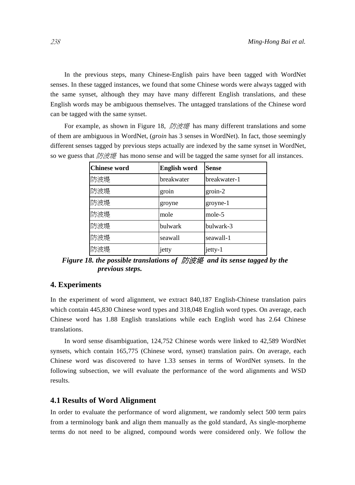In the previous steps, many Chinese-English pairs have been tagged with WordNet senses. In these tagged instances, we found that some Chinese words were always tagged with the same synset, although they may have many different English translations, and these English words may be ambiguous themselves. The untagged translations of the Chinese word can be tagged with the same synset.

For example, as shown in Figure 18, 防波堤 has many different translations and some of them are ambiguous in WordNet, (*groin* has 3 senses in WordNet). In fact, those seemingly different senses tagged by previous steps actually are indexed by the same synset in WordNet, so we guess that  $\beta \mathcal{B} \neq \emptyset$  has mono sense and will be tagged the same synset for all instances.

| <b>Chinese word</b> | <b>English word</b> | <b>Sense</b> |
|---------------------|---------------------|--------------|
| 防波堤                 | breakwater          | breakwater-1 |
| 防波堤                 | groin               | $groin-2$    |
| 防波堤                 | groyne              | groyne-1     |
| 防波堤                 | mole                | mole-5       |
| 防波堤                 | bulwark             | bulwark-3    |
| 防波堤                 | seawall             | seawall-1    |
| 防波堤                 | jetty               | jetty-1      |

*Figure 18. the possible translations of* 防波堤 *and its sense tagged by the previous steps.* 

## **4. Experiments**

In the experiment of word alignment, we extract 840,187 English-Chinese translation pairs which contain 445,830 Chinese word types and 318,048 English word types. On average, each Chinese word has 1.88 English translations while each English word has 2.64 Chinese translations.

In word sense disambiguation, 124,752 Chinese words were linked to 42,589 WordNet synsets, which contain 165,775 (Chinese word, synset) translation pairs. On average, each Chinese word was discovered to have 1.33 senses in terms of WordNet synsets. In the following subsection, we will evaluate the performance of the word alignments and WSD results.

#### **4.1 Results of Word Alignment**

In order to evaluate the performance of word alignment, we randomly select 500 term pairs from a terminology bank and align them manually as the gold standard, As single-morpheme terms do not need to be aligned, compound words were considered only. We follow the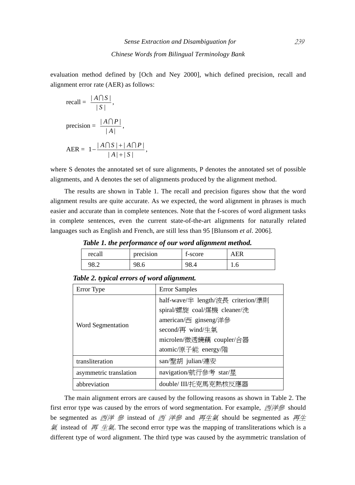evaluation method defined by [Och and Ney 2000], which defined precision, recall and alignment error rate (AER) as follows:

recall = 
$$
\frac{|A \cap S|}{|S|}
$$
,  
\nprecision =  $\frac{|A \cap P|}{|A|}$ ,  
\nAER =  $1 - \frac{|A \cap S| + |A \cap P|}{|A| + |S|}$ ,

where S denotes the annotated set of sure alignments, P denotes the annotated set of possible alignments, and A denotes the set of alignments produced by the alignment method.

The results are shown in Table 1. The recall and precision figures show that the word alignment results are quite accurate. As we expected, the word alignment in phrases is much easier and accurate than in complete sentences. Note that the f-scores of word alignment tasks in complete sentences, even the current state-of-the-art alignments for naturally related languages such as English and French, are still less than 95 [Blunsom *et al*. 2006].

*Table 1. the performance of our word alignment method.* 

| recall | precision | f-score | <b>AER</b> |
|--------|-----------|---------|------------|
| 98.2   | 98.6      | 98.4    | 1.0        |

| Error Type             | <b>Error Samples</b>               |  |  |
|------------------------|------------------------------------|--|--|
| Word Segmentation      | half-wave/半 length/波長 criterion/準則 |  |  |
|                        | spiral/螺旋 coal/煤機 cleaner/洗        |  |  |
|                        | american/西 ginseng/洋參              |  |  |
|                        | second/再 wind/生氣                   |  |  |
|                        | microlen/微透鏡藕 coupler/合器           |  |  |
|                        | atomic/原子能 energy/階                |  |  |
| transliteration        | san/聖胡 julian/連安                   |  |  |
| asymmetric translation | navigation/航行參考 star/星             |  |  |
| abbreviation           | double/ III/托克馬克熱核反應器              |  |  |

*Table 2. typical errors of word alignment.* 

The main alignment errors are caused by the following reasons as shown in Table 2. The first error type was caused by the errors of word segmentation. For example,  $\vec{E}$  =  $\hat{E}$ \$ should be segmented as  $\overline{\mathcal{B}}\neq\mathcal{B}$  instead of  $\overline{\mathcal{B}}\neq\mathcal{B}$  and  $\overline{\mathcal{B}}\neq\mathcal{B}$  should be segmented as  $\overline{\mathcal{B}}\neq\mathcal{B}$  $\overline{\mathcal{R}}$  instead of  $\overline{H} \not\subseteq \overline{\mathcal{R}}$ . The second error type was the mapping of transliterations which is a different type of word alignment. The third type was caused by the asymmetric translation of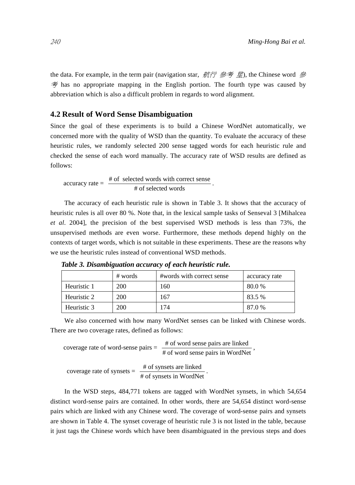the data. For example, in the term pair (navigation star, 航行 參考 星), the Chinese word 參  $\hat{\mathcal{F}}$  has no appropriate mapping in the English portion. The fourth type was caused by abbreviation which is also a difficult problem in regards to word alignment.

#### **4.2 Result of Word Sense Disambiguation**

Since the goal of these experiments is to build a Chinese WordNet automatically, we concerned more with the quality of WSD than the quantity. To evaluate the accuracy of these heuristic rules, we randomly selected 200 sense tagged words for each heuristic rule and checked the sense of each word manually. The accuracy rate of WSD results are defined as follows:

accuracy rate = 
$$
\frac{\text{# of selected words with correct sense}}{\text{# of selected words}}.
$$

The accuracy of each heuristic rule is shown in Table 3. It shows that the accuracy of heuristic rules is all over 80 %. Note that, in the lexical sample tasks of Senseval 3 [Mihalcea *et al*. 2004], the precision of the best supervised WSD methods is less than 73%, the unsupervised methods are even worse. Furthermore, these methods depend highly on the contexts of target words, which is not suitable in these experiments. These are the reasons why we use the heuristic rules instead of conventional WSD methods.

|             | # words | #words with correct sense | accuracy rate |
|-------------|---------|---------------------------|---------------|
| Heuristic 1 | 200     | 160                       | 80.0%         |
| Heuristic 2 | 200     | 167                       | 83.5 %        |
| Heuristic 3 | 200     | 174                       | 87.0 %        |

*Table 3. Disambiguation accuracy of each heuristic rule.* 

We also concerned with how many WordNet senses can be linked with Chinese words. There are two coverage rates, defined as follows:

coverage rate of word-sense pairs  $=$   $\frac{\text{\# of word sense pairs are linked}}{\text{\# of word sense pairs in WordNet}}$ ,

coverage rate of synsets =  $\frac{\text{# of synsets are linked}}{\text{# of synsets in WordNet}}$ .

In the WSD steps, 484,771 tokens are tagged with WordNet synsets, in which 54,654 distinct word-sense pairs are contained. In other words, there are 54,654 distinct word-sense pairs which are linked with any Chinese word. The coverage of word-sense pairs and synsets are shown in Table 4. The synset coverage of heuristic rule 3 is not listed in the table, because it just tags the Chinese words which have been disambiguated in the previous steps and does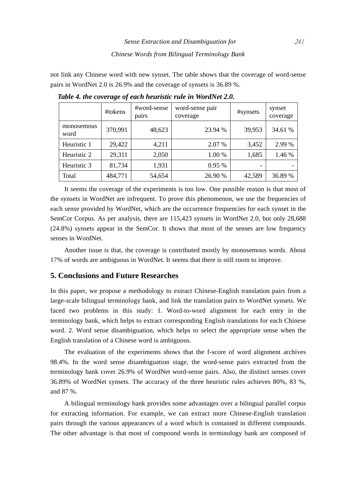not link any Chinese word with new synset. The table shows that the coverage of word-sense pairs in WordNet 2.0 is 26.9% and the coverage of synsets is 36.89 %.

|                    | #tokens | #word-sense<br>pairs | word-sense pair<br>coverage | #synsets | synset<br>coverage |
|--------------------|---------|----------------------|-----------------------------|----------|--------------------|
| monosemous<br>word | 370,991 | 48,623               | 23.94 %                     | 39,953   | 34.61 %            |
| Heuristic 1        | 29,422  | 4,211                | 2.07 %                      | 3,452    | 2.99 %             |
| Heuristic 2        | 29,311  | 2,050                | 1.00 %                      | 1,685    | 1.46 %             |
| Heuristic 3        | 81,734  | 1,931                | 0.95%                       |          |                    |
| Total              | 484,771 | 54,654               | 26.90 %                     | 42,589   | 36.89 %            |

*Table 4. the coverage of each heuristic rule in WordNet 2.0.* 

It seems the coverage of the experiments is too low. One possible reason is that most of the synsets in WordNet are infrequent. To prove this phenomenon, we use the frequencies of each sense provided by WordNet, which are the occurrence frequencies for each synset in the SemCor Corpus. As per analysis, there are 115,423 synsets in WordNet 2.0, but only 28,688 (24.8%) synsets appear in the SemCor. It shows that most of the senses are low frequency senses in WordNet.

Another issue is that, the coverage is contributed mostly by monosemous words. About 17% of words are ambiguous in WordNet. It seems that there is still room to improve.

## **5. Conclusions and Future Researches**

In this paper, we propose a methodology to extract Chinese-English translation pairs from a large-scale bilingual terminology bank, and link the translation pairs to WordNet synsets. We faced two problems in this study: 1. Word-to-word alignment for each entry in the terminology bank, which helps to extract corresponding English translations for each Chinese word. 2. Word sense disambiguation, which helps to select the appropriate sense when the English translation of a Chinese word is ambiguous.

The evaluation of the experiments shows that the f-score of word alignment archives 98.4%. In the word sense disambiguation stage, the word-sense pairs extracted from the terminology bank cover 26.9% of WordNet word-sense pairs. Also, the distinct senses cover 36.89% of WordNet synsets. The accuracy of the three heuristic rules achieves 80%, 83 %, and 87 %.

A bilingual terminology bank provides some advantages over a bilingual parallel corpus for extracting information. For example, we can extract more Chinese-English translation pairs through the various appearances of a word which is contained in different compounds. The other advantage is that most of compound words in terminology bank are composed of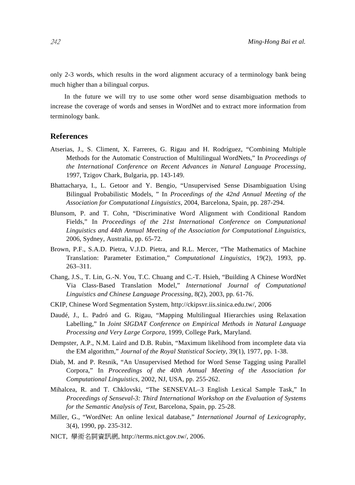only 2-3 words, which results in the word alignment accuracy of a terminology bank being much higher than a bilingual corpus.

In the future we will try to use some other word sense disambiguation methods to increase the coverage of words and senses in WordNet and to extract more information from terminology bank.

#### **References**

- Atserias, J., S. Climent, X. Farreres, G. Rigau and H. Rodríguez, "Combining Multiple Methods for the Automatic Construction of Multilingual WordNets," In *Proceedings of the International Conference on Recent Advances in Natural Language Processing*, 1997, Tzigov Chark, Bulgaria, pp. 143-149.
- Bhattacharya, I., L. Getoor and Y. Bengio, "Unsupervised Sense Disambiguation Using Bilingual Probabilistic Models, " In *Proceedings of the 42nd Annual Meeting of the Association for Computational Linguistics*, 2004, Barcelona, Spain, pp. 287-294.
- Blunsom, P. and T. Cohn, "Discriminative Word Alignment with Conditional Random Fields," In *Proceedings of the 21st International Conference on Computational Linguistics and 44th Annual Meeting of the Association for Computational Linguistics*, 2006, Sydney, Australia, pp. 65-72.
- Brown, P.F., S.A.D. Pietra, V.J.D. Pietra, and R.L. Mercer, "The Mathematics of Machine Translation: Parameter Estimation," *Computational Linguistics*, 19(2), 1993, pp. 263–311.
- Chang, J.S., T. Lin, G.-N. You, T.C. Chuang and C.-T. Hsieh, "Building A Chinese WordNet Via Class-Based Translation Model," *International Journal of Computational Linguistics and Chinese Language Processing*, 8(2), 2003, pp. 61-76.
- CKIP, Chinese Word Segmentation System, http://ckipsvr.iis.sinica.edu.tw/, 2006
- Daudé, J., L. Padró and G. Rigau, "Mapping Multilingual Hierarchies using Relaxation Labelling," In *Joint SIGDAT Conference on Empirical Methods in Natural Language Processing and Very Large Corpora*, 1999, College Park, Maryland.
- Dempster, A.P., N.M. Laird and D.B. Rubin, "Maximum likelihood from incomplete data via the EM algorithm," *Journal of the Royal Statistical Society*, 39(1), 1977, pp. 1-38.
- Diab, M. and P. Resnik, "An Unsupervised Method for Word Sense Tagging using Parallel Corpora," In *Proceedings of the 40th Annual Meeting of the Association for Computational Linguistics*, 2002, NJ, USA, pp. 255-262.
- Mihalcea, R. and T. Chklovski, "The SENSEVAL–3 English Lexical Sample Task," In *Proceedings of Senseval-3: Third International Workshop on the Evaluation of Systems for the Semantic Analysis of Text*, Barcelona, Spain, pp. 25-28.
- Miller, G., "WordNet: An online lexical database," *International Journal of Lexicography*, 3(4), 1990, pp. 235-312.
- NICT, 學術名詞資訊網, http://terms.nict.gov.tw/, 2006.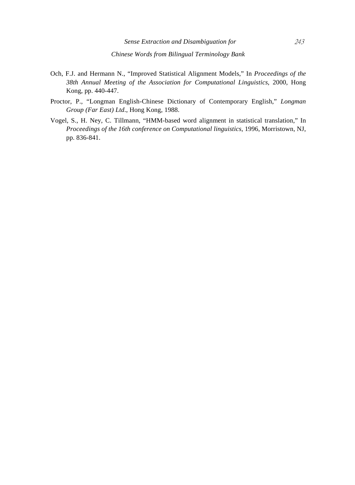- Och, F.J. and Hermann N., "Improved Statistical Alignment Models," In *Proceedings of the 38th Annual Meeting of the Association for Computational Linguistics*, 2000, Hong Kong, pp. 440-447.
- Proctor, P., "Longman English-Chinese Dictionary of Contemporary English," *Longman Group (Far East) Ltd*., Hong Kong, 1988.
- Vogel, S., H. Ney, C. Tillmann, "HMM-based word alignment in statistical translation," In *Proceedings of the 16th conference on Computational linguistics*, 1996, Morristown, NJ, pp. 836-841.